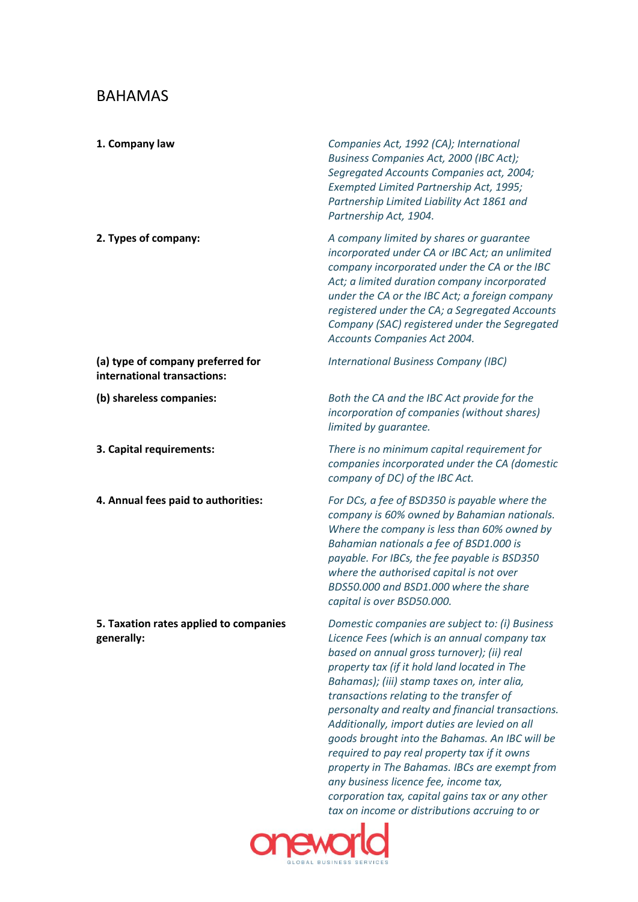## BAHAMAS

| 1. Company law                                                   | Companies Act, 1992 (CA); International<br>Business Companies Act, 2000 (IBC Act);<br>Segregated Accounts Companies act, 2004;<br>Exempted Limited Partnership Act, 1995;<br>Partnership Limited Liability Act 1861 and<br>Partnership Act, 1904.                                                                                                                                                                                                                                                                                                                                                                                             |
|------------------------------------------------------------------|-----------------------------------------------------------------------------------------------------------------------------------------------------------------------------------------------------------------------------------------------------------------------------------------------------------------------------------------------------------------------------------------------------------------------------------------------------------------------------------------------------------------------------------------------------------------------------------------------------------------------------------------------|
| 2. Types of company:                                             | A company limited by shares or guarantee<br>incorporated under CA or IBC Act; an unlimited<br>company incorporated under the CA or the IBC<br>Act; a limited duration company incorporated<br>under the CA or the IBC Act; a foreign company<br>registered under the CA; a Segregated Accounts<br>Company (SAC) registered under the Segregated<br>Accounts Companies Act 2004.                                                                                                                                                                                                                                                               |
| (a) type of company preferred for<br>international transactions: | <b>International Business Company (IBC)</b>                                                                                                                                                                                                                                                                                                                                                                                                                                                                                                                                                                                                   |
| (b) shareless companies:                                         | Both the CA and the IBC Act provide for the<br>incorporation of companies (without shares)<br>limited by guarantee.                                                                                                                                                                                                                                                                                                                                                                                                                                                                                                                           |
| 3. Capital requirements:                                         | There is no minimum capital requirement for<br>companies incorporated under the CA (domestic<br>company of DC) of the IBC Act.                                                                                                                                                                                                                                                                                                                                                                                                                                                                                                                |
| 4. Annual fees paid to authorities:                              | For DCs, a fee of BSD350 is payable where the<br>company is 60% owned by Bahamian nationals.<br>Where the company is less than 60% owned by<br>Bahamian nationals a fee of BSD1.000 is<br>payable. For IBCs, the fee payable is BSD350<br>where the authorised capital is not over<br>BDS50.000 and BSD1.000 where the share<br>capital is over BSD50.000.                                                                                                                                                                                                                                                                                    |
| 5. Taxation rates applied to companies<br>generally:             | Domestic companies are subject to: (i) Business<br>Licence Fees (which is an annual company tax<br>based on annual gross turnover); (ii) real<br>property tax (if it hold land located in The<br>Bahamas); (iii) stamp taxes on, inter alia,<br>transactions relating to the transfer of<br>personalty and realty and financial transactions.<br>Additionally, import duties are levied on all<br>goods brought into the Bahamas. An IBC will be<br>required to pay real property tax if it owns<br>property in The Bahamas. IBCs are exempt from<br>any business licence fee, income tax,<br>corporation tax, capital gains tax or any other |



*tax on income or distributions accruing to or*